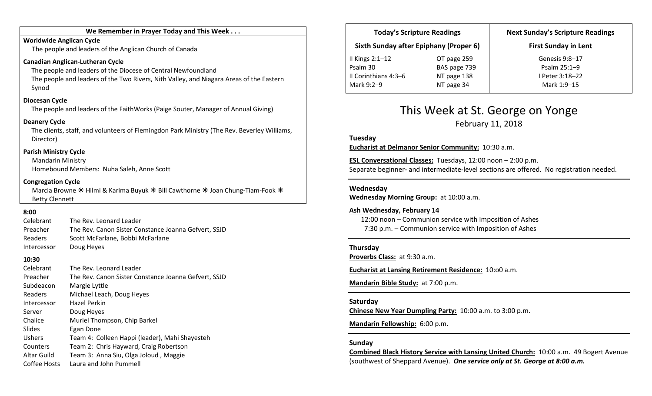#### We Remember in Prayer Today and This Week . . .

#### Worldwide Anglican Cycle

The people and leaders of the Anglican Church of Canada

#### Canadian Anglican-Lutheran Cycle

The people and leaders of the Diocese of Central Newfoundland The people and leaders of the Two Rivers, Nith Valley, and Niagara Areas of the Eastern Synod

#### Diocesan Cycle

The people and leaders of the FaithWorks (Paige Souter, Manager of Annual Giving)

#### Deanery Cycle

The clients, staff, and volunteers of Flemingdon Park Ministry (The Rev. Beverley Williams, Director)

#### Parish Ministry Cycle

Mandarin Ministry Homebound Members: Nuha Saleh, Anne Scott

#### Congregation Cycle

Marcia Browne  $*$  Hilmi & Karima Buyuk  $*$  Bill Cawthorne  $*$  Joan Chung-Tiam-Fook  $*$ Betty Clennett

## 8:00

| Celebrant   | The Rev. Leonard Leader                              |  |
|-------------|------------------------------------------------------|--|
| Preacher    | The Rev. Canon Sister Constance Joanna Gefvert, SSJD |  |
| Readers     | Scott McFarlane, Bobbi McFarlane                     |  |
| Intercessor | Doug Heyes                                           |  |

### 10:30

| The Rev. Leonard Leader<br>Celebrant<br>The Rev. Canon Sister Constance Joanna Gefvert, SSJD<br>Preacher<br>Subdeacon<br>Margie Lyttle<br>Michael Leach, Doug Heyes<br>Readers<br>Hazel Perkin<br>Intercessor<br>Doug Heyes<br>Server<br>Muriel Thompson, Chip Barkel<br>Chalice<br>Slides<br>Egan Done<br>Ushers<br>Team 4: Colleen Happi (leader), Mahi Shayesteh<br>Team 2: Chris Hayward, Craig Robertson<br>Counters<br><b>Altar Guild</b> |  |
|-------------------------------------------------------------------------------------------------------------------------------------------------------------------------------------------------------------------------------------------------------------------------------------------------------------------------------------------------------------------------------------------------------------------------------------------------|--|
| Team 3: Anna Siu, Olga Joloud, Maggie<br>Laura and John Pummell<br>Coffee Hosts                                                                                                                                                                                                                                                                                                                                                                 |  |

| <b>Today's Scripture Readings</b>      |              | <b>Next Sunday's Scripture Readings</b> |
|----------------------------------------|--------------|-----------------------------------------|
| Sixth Sunday after Epiphany (Proper 6) |              | <b>First Sunday in Lent</b>             |
| II Kings $2:1-12$                      | OT page 259  | Genesis 9:8-17                          |
| Psalm 30                               | BAS page 739 | Psalm 25:1-9                            |
| II Corinthians 4:3-6                   | NT page 138  | I Peter 3:18-22                         |
| Mark 9:2-9                             | NT page 34   | Mark 1:9-15                             |

## This Week at St. George on Yonge

February 11, 2018

Tuesday

Eucharist at Delmanor Senior Community: 10:30 a.m.

ESL Conversational Classes: Tuesdays, 12:00 noon – 2:00 p.m. Separate beginner- and intermediate-level sections are offered. No registration needed.

#### Wednesday

Wednesday Morning Group: at 10:00 a.m.

#### Ash Wednesday, February 14

12:00 noon – Communion service with Imposition of Ashes 7:30 p.m. – Communion service with Imposition of Ashes

#### Thursday

Proverbs Class: at 9:30 a.m.

Eucharist at Lansing Retirement Residence: 10:o0 a.m.

Mandarin Bible Study: at 7:00 p.m.

#### Saturday

Chinese New Year Dumpling Party: 10:00 a.m. to 3:00 p.m.

Mandarin Fellowship: 6:00 p.m.

#### Sunday

Combined Black History Service with Lansing United Church: 10:00 a.m. 49 Bogert Avenue (southwest of Sheppard Avenue). One service only at St. George at 8:00 a.m.